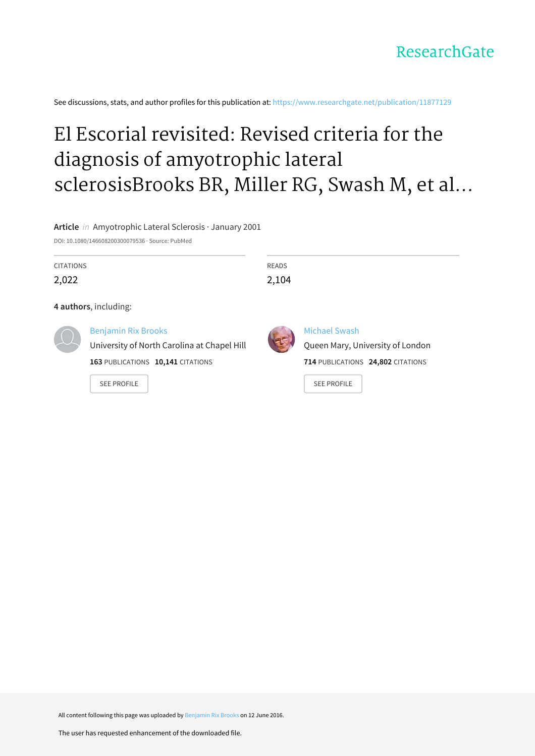See discussions, stats, and author profiles for this publication at: [https://www.researchgate.net/publication/11877129](https://www.researchgate.net/publication/11877129_El_Escorial_revisited_Revised_criteria_for_the_diagnosis_of_amyotrophic_lateral_sclerosisBrooks_BR_Miller_RG_Swash_M_et_al_for_the_World_Federation_of_Neurology_Group_on_Motor_Neuron_DiseasesAmyotroph?enrichId=rgreq-b341985732de1d5495b1201966cf1fe3-XXX&enrichSource=Y292ZXJQYWdlOzExODc3MTI5O0FTOjM3MjI0MTYzMzE2OTQwOUAxNDY1NzYwNzI5NDY3&el=1_x_2&_esc=publicationCoverPdf)

# El Escorial revisited: Revised criteria for the diagnosis of amyotrophic lateral sclerosisBrooks BR, Miller RG, Swash M, et al...

**Article** in Amyotrophic Lateral Sclerosis · January 2001

DOI: 10.1080/146608200300079536 · Source: PubMed

CITATIONS 2,022

**4 authors**, including:



[Benjamin](https://www.researchgate.net/profile/Benjamin_Brooks?enrichId=rgreq-b341985732de1d5495b1201966cf1fe3-XXX&enrichSource=Y292ZXJQYWdlOzExODc3MTI5O0FTOjM3MjI0MTYzMzE2OTQwOUAxNDY1NzYwNzI5NDY3&el=1_x_5&_esc=publicationCoverPdf) Rix Brooks

[University](https://www.researchgate.net/institution/University_of_North_Carolina_at_Chapel_Hill?enrichId=rgreq-b341985732de1d5495b1201966cf1fe3-XXX&enrichSource=Y292ZXJQYWdlOzExODc3MTI5O0FTOjM3MjI0MTYzMzE2OTQwOUAxNDY1NzYwNzI5NDY3&el=1_x_6&_esc=publicationCoverPdf) of North Carolina at Chapel Hill **163** PUBLICATIONS **10,141** CITATIONS

SEE [PROFILE](https://www.researchgate.net/profile/Benjamin_Brooks?enrichId=rgreq-b341985732de1d5495b1201966cf1fe3-XXX&enrichSource=Y292ZXJQYWdlOzExODc3MTI5O0FTOjM3MjI0MTYzMzE2OTQwOUAxNDY1NzYwNzI5NDY3&el=1_x_7&_esc=publicationCoverPdf)



READS 2,104

> [Michael](https://www.researchgate.net/profile/Michael_Swash?enrichId=rgreq-b341985732de1d5495b1201966cf1fe3-XXX&enrichSource=Y292ZXJQYWdlOzExODc3MTI5O0FTOjM3MjI0MTYzMzE2OTQwOUAxNDY1NzYwNzI5NDY3&el=1_x_5&_esc=publicationCoverPdf) Swash Queen Mary, [University](https://www.researchgate.net/institution/Queen_Mary_University_of_London?enrichId=rgreq-b341985732de1d5495b1201966cf1fe3-XXX&enrichSource=Y292ZXJQYWdlOzExODc3MTI5O0FTOjM3MjI0MTYzMzE2OTQwOUAxNDY1NzYwNzI5NDY3&el=1_x_6&_esc=publicationCoverPdf) of London **714** PUBLICATIONS **24,802** CITATIONS

SEE [PROFILE](https://www.researchgate.net/profile/Michael_Swash?enrichId=rgreq-b341985732de1d5495b1201966cf1fe3-XXX&enrichSource=Y292ZXJQYWdlOzExODc3MTI5O0FTOjM3MjI0MTYzMzE2OTQwOUAxNDY1NzYwNzI5NDY3&el=1_x_7&_esc=publicationCoverPdf)

All content following this page was uploaded by [Benjamin](https://www.researchgate.net/profile/Benjamin_Brooks?enrichId=rgreq-b341985732de1d5495b1201966cf1fe3-XXX&enrichSource=Y292ZXJQYWdlOzExODc3MTI5O0FTOjM3MjI0MTYzMzE2OTQwOUAxNDY1NzYwNzI5NDY3&el=1_x_10&_esc=publicationCoverPdf) Rix Brooks on 12 June 2016.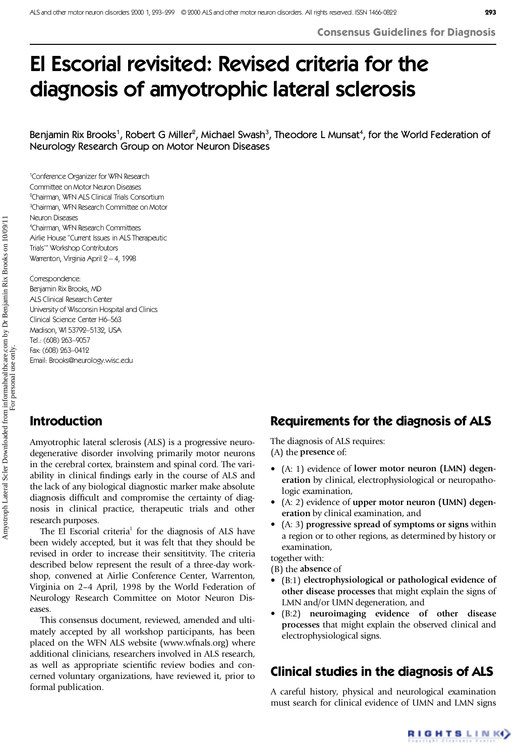# El Escorial revisited: Revised criteria for the diagnosis of amyotrophic lateral sclerosis

Benjamin Rix Brooks $^{\rm 1}$ , Robert G Miller $^{\rm 2}$ , Michael Swash $^{\rm 3}$ , Theodore L Munsat $^{\rm 4}$ , for the World Federation of Neurology Research Group on Motor Neuron Diseases

<sup>1</sup>Conference Organizer for WFN Research Committee on Motor Neuron Diseases <sup>2</sup>Chairman, WFN ALS Clinical Trials Consortium <sup>3</sup>Chairman, WFN Research Committee on Motor Neuron Diseases <sup>4</sup>Chairman, WFN Research Committees Airlie House "Current Issues in ALS Therapeutic Trials'" Workshop Contributors Warrenton, Virginia April 2 – 4, 1998

Correspondence:

Benjamin Rix Brooks, MD ALS Clinical Research Center University of Wisconsin Hospital and Clinics Clinical Science Center H6–563 Madison, Wl 53792–5132, USA Tel.: (608) 263–9057 Fax: (608) 263–0412 Email: Brooks@neurology.wisc.edu

# Introduction

Amyotrophic lateral sclerosis (ALS) is a progressive neurodegenerative disorder involving primarily motor neurons in the cerebral cortex, brainstem and spinal cord. The variability in clinical findings early in the course of ALS and the lack of any biological diagnostic marker make absolute diagnosis difficult and compromise the certainty of diagnosis in clinical practice, therapeutic trials and other research purposes.

The El Escorial criteria<sup>1</sup> for the diagnosis of ALS have been widely accepted, but it was felt that they should be revised in order to increase their sensititvity. The criteria described below represent the result of a three-day workshop, convened at Airlie Conference Center, Warrenton, Virginia on 2–4 April, 1998 by the World Federation of Neurology Research Committee on Motor Neuron Diseases.

This consensus document, reviewed, amended and ultimately accepted by all workshop participants, has been placed on the WFN ALS website (www.wfnals.org) where additional clinicians, researchers involved in ALS research, as well as appropriate scientific review bodies and concerned voluntary organizations, have reviewed it, prior to formal publication.

# Requirements for the diagnosis of ALS

The diagnosis of ALS requires: (A) the **presence** of:

- (A: 1) evidence of **lower motor neuron (LMN) degeneration** by clinical, electrophysiological or neuropathologic examination,
- (A: 2) evidence of **upper motor neuron (UMN) degeneration** by clinical examination, and
- (A: 3) **progressive spread of symptoms or signs** within a region or to other regions, as determined by history or examination,

together with:

(B) the **absence** of

- (B:1) **electrophysiological or pathological evidence of other disease processes** that might explain the signs of LMN and/or UMN degeneration, and
- (B:2) **neuroimaging evidence of other disease processes** that might explain the observed clinical and electrophysiological signs*.*

# Clinical studies in the diagnosis of ALS

A careful history, physical and neurological examination must search for clinical evidence of UMN and LMN signs

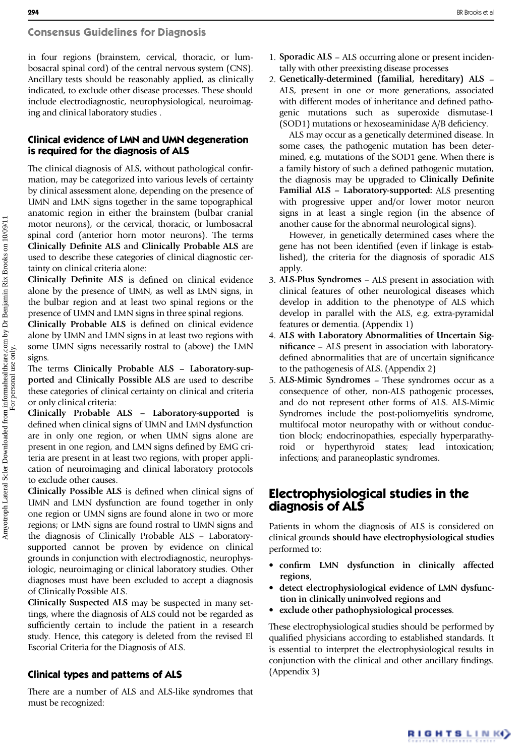in four regions (brainstem, cervical, thoracic, or lumbosacral spinal cord) of the central nervous system (CNS). Ancillary tests should be reasonably applied, as clinically indicated, to exclude other disease processes. These should include electrodiagnostic, neurophysiological, neuroimaging and clinical laboratory studies .

#### Clinical evidence of LMN and UMN degeneration is required for the diagnosis of ALS

The clinical diagnosis of ALS, without pathological confirmation, may be categorized into various levels of certainty by clinical assessment alone, depending on the presence of UMN and LMN signs together in the same topographical anatomic region in either the brainstem (bulbar cranial motor neurons), or the cervical, thoracic, or lumbosacral spinal cord (anterior horn motor neurons). The terms **Clinically Definite ALS** and **Clinically Probable ALS** are used to describe these categories of clinical diagnostic certainty on clinical criteria alone:

Clinically Definite ALS is defined on clinical evidence alone by the presence of UMN, as well as LMN signs, in the bulbar region and at least two spinal regions or the presence of UMN and LMN signs in three spinal regions.

**Clinically Probable ALS** is defined on clinical evidence alone by UMN and LMN signs in at least two regions with some UMN signs necessarily rostral to (above) the LMN signs.

The terms **Clinically Probable ALS – Laboratory-supported** and **Clinically Possible ALS** are used to describe these categories of clinical certainty on clinical and criteria or only clinical criteria:

**Clinically Probable ALS – Laboratory-supported** is defined when clinical signs of UMN and LMN dysfunction are in only one region, or when UMN signs alone are present in one region, and LMN signs defined by EMG criteria are present in at least two regions, with proper application of neuroimaging and clinical laboratory protocols to exclude other causes.

**Clinically Possible ALS** is defined when clinical signs of UMN and LMN dysfunction are found together in only one region or UMN signs are found alone in two or more regions; or LMN signs are found rostral to UMN signs and the diagnosis of Clinically Probable ALS – Laboratorysupported cannot be proven by evidence on clinical grounds in conjunction with electrodiagnostic, neurophysiologic, neuroimaging or clinical laboratory studies. Other diagnoses must have been excluded to accept a diagnosis of Clinically Possible ALS.

**Clinically Suspected ALS** may be suspected in many settings, where the diagnosis of ALS could not be regarded as sufficiently certain to include the patient in a research study. Hence, this category is deleted from the revised El Escorial Criteria for the Diagnosis of ALS.

#### Clinical types and patterns of ALS

There are a number of ALS and ALS-like syndromes that must be recognized:

- 1. **Sporadic ALS**  ALS occurring alone or present incidentally with other preexisting disease processes
- 2. **Genetically-determined (familial, hereditary) ALS** ALS, present in one or more generations, associated with different modes of inheritance and defined pathogenic mutations such as superoxide dismutase-1  $(SOD1)$  mutations or hexoseaminidase  $A/B$  deficiency.

ALS may occur as a genetically determined disease. In some cases, the pathogenic mutation has been determined, e.g. mutations of the SOD1 gene. When there is a family history of such a defined pathogenic mutation, the diagnosis may be upgraded to Clinically Definite **Familial ALS – Laboratory-supported:** ALS presenting with progressive upper and/or lower motor neuron signs in at least a single region (in the absence of another cause for the abnormal neurological signs).

However, in genetically determined cases where the gene has not been identified (even if linkage is established), the criteria for the diagnosis of sporadic ALS apply.

- 3. **ALS-Plus Syndromes** ALS present in association with clinical features of other neurological diseases which develop in addition to the phenotype of ALS which develop in parallel with the ALS, e.g. extra-pyramidal features or dementia. (Appendix 1)
- 4. **ALS with Laboratory Abnormalities of Uncertain Significance** – ALS present in association with laboratorydefined abnormalities that are of uncertain significance to the pathogenesis of ALS. (Appendix 2)
- 5. **ALS-Mimic Syndromes** These syndromes occur as a consequence of other, non-ALS pathogenic processes, and do not represent other forms of ALS. ALS-Mimic Syndromes include the post-poliomyelitis syndrome, multifocal motor neuropathy with or without conduction block; endocrinopathies, especially hyperparathyroid or hyperthyroid states; lead intoxication; infections; and paraneoplastic syndromes.

# Electrophysiological studies in the diagnosis of ALS

Patients in whom the diagnosis of ALS is considered on clinical grounds **should have electrophysiological studies** performed to:

- confirm LMN dysfunction in clinically affected **regions**,
- **detect electrophysiological evidence of LMN dysfunction in clinically uninvolved regions** and
- **exclude other pathophysiological processes**.

These electrophysiological studies should be performed by qualified physicians according to established standards. It is essential to interpret the electrophysiological results in conjunction with the clinical and other ancillary findings. (Appendix 3)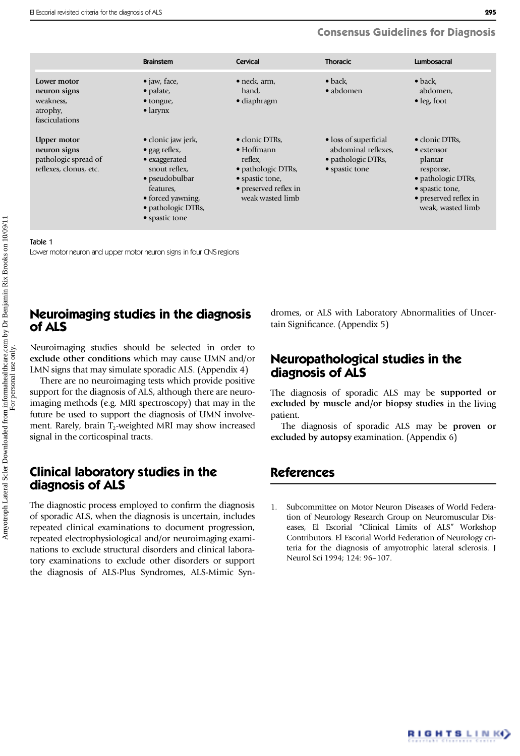|                                                                               | <b>Brainstem</b>                                                                                                                                                                  | Cervical                                                                                                                                              | <b>Thoracic</b>                                                                                      | Lumbosacral                                                                                                                                                 |
|-------------------------------------------------------------------------------|-----------------------------------------------------------------------------------------------------------------------------------------------------------------------------------|-------------------------------------------------------------------------------------------------------------------------------------------------------|------------------------------------------------------------------------------------------------------|-------------------------------------------------------------------------------------------------------------------------------------------------------------|
| Lower motor<br>neuron signs<br>weakness,<br>atrophy,<br>fasciculations        | $\bullet$ jaw, face,<br>$\bullet$ palate,<br>$\bullet$ tongue,<br>$\bullet$ larynx                                                                                                | $\bullet$ neck, arm,<br>hand,<br>$\bullet$ diaphragm                                                                                                  | $\bullet$ back.<br>$\bullet$ abdomen                                                                 | $\bullet$ back.<br>abdomen,<br>$\bullet$ leg, foot                                                                                                          |
| Upper motor<br>neuron signs<br>pathologic spread of<br>reflexes, clonus, etc. | • clonic jaw jerk,<br>$\bullet$ gag reflex,<br>• exaggerated<br>snout reflex.<br>$\bullet$ pseudobulbar<br>features.<br>• forced yawning,<br>• pathologic DTRs,<br>• spastic tone | $\bullet$ clonic DTRs.<br>$\bullet$ Hoffmann<br>reflex,<br>$\bullet$ pathologic DTRs,<br>• spastic tone,<br>• preserved reflex in<br>weak wasted limb | $\bullet$ loss of superficial<br>abdominal reflexes.<br>$\bullet$ pathologic DTRs,<br>• spastic tone | $\bullet$ clonic DTRs.<br>$\bullet$ extensor<br>plantar<br>response,<br>• pathologic DTRs,<br>• spastic tone,<br>• preserved reflex in<br>weak, wasted limb |

#### Table 1

Lower motor neuron and upper motor neuron signs in four CNS regions

## Neuroimaging studies in the diagnosis of ALS

Neuroimaging studies should be selected in order to **exclude other conditions** which may cause UMN and/or LMN signs that may simulate sporadic ALS. (Appendix 4)

There are no neuroimaging tests which provide positive support for the diagnosis of ALS, although there are neuroimaging methods (e.g. MRI spectroscopy) that may in the future be used to support the diagnosis of UMN involvement. Rarely, brain  $T_2$ -weighted MRI may show increased signal in the corticospinal tracts.

## Clinical laboratory studies in the diagnosis of ALS

The diagnostic process employed to confirm the diagnosis of sporadic ALS, when the diagnosis is uncertain, includes repeated clinical examinations to document progression, repeated electrophysiological and/or neuroimaging examinations to exclude structural disorders and clinical laboratory examinations to exclude other disorders or support the diagnosis of ALS-Plus Syndromes, ALS-Mimic Syndromes, or ALS with Laboratory Abnormalities of Uncertain Significance. (Appendix 5)

# Neuropathological studies in the diagnosis of ALS

The diagnosis of sporadic ALS may be **supported or excluded by muscle and/or biopsy studies** in the living patient.

The diagnosis of sporadic ALS may be **proven or excluded by autopsy** examination. (Appendix 6)

# References

1. Subcommittee on Motor Neuron Diseases of World Federation of Neurology Research Group on Neuromuscular Diseases, El Escorial "Clinical Limits of ALS" Workshop Contributors. El Escorial World Federation of Neurology criteria for the diagnosis of amyotrophic lateral sclerosis. J Neurol Sci 1994; 124: 96–107.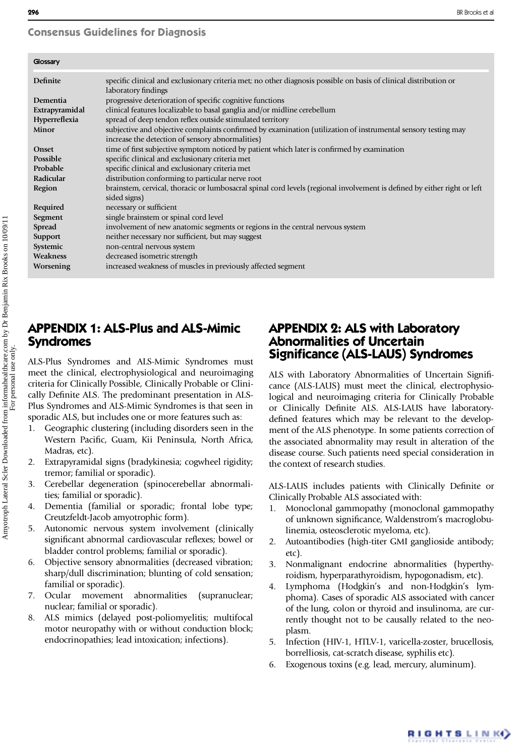| Glossary        |  |
|-----------------|--|
| <b>Definite</b> |  |
|                 |  |

| Definite         | specific clinical and exclusionary criteria met; no other diagnosis possible on basis of clinical distribution or<br>laboratory findings                          |
|------------------|-------------------------------------------------------------------------------------------------------------------------------------------------------------------|
| Dementia         | progressive deterioration of specific cognitive functions                                                                                                         |
| Extrapyramidal   | clinical features localizable to basal ganglia and/or midline cerebellum                                                                                          |
| Hyperreflexia    | spread of deep tendon reflex outside stimulated territory                                                                                                         |
| Minor            | subjective and objective complaints confirmed by examination (utilization of instrumental sensory testing may<br>increase the detection of sensory abnormalities) |
| Onset            | time of first subjective symptom noticed by patient which later is confirmed by examination                                                                       |
| Possible         | specific clinical and exclusionary criteria met                                                                                                                   |
| Probable         | specific clinical and exclusionary criteria met                                                                                                                   |
| Radicular        | distribution conforming to particular nerve root                                                                                                                  |
| Region           | brainstem, cervical, thoracic or lumbosacral spinal cord levels (regional involvement is defined by either right or left                                          |
|                  | sided signs)                                                                                                                                                      |
| Required         | necessary or sufficient                                                                                                                                           |
| Segment          | single brainstem or spinal cord level                                                                                                                             |
| <b>Spread</b>    | involvement of new anatomic segments or regions in the central nervous system                                                                                     |
| <b>Support</b>   | neither necessary nor sufficient, but may suggest                                                                                                                 |
| Systemic         | non-central nervous system                                                                                                                                        |
| <b>Weakness</b>  | decreased isometric strength                                                                                                                                      |
| <b>Worsening</b> | increased weakness of muscles in previously affected segment                                                                                                      |

# APPENDIX 1: ALS-Plus and ALS-Mimic Syndromes

ALS-Plus Syndromes and ALS-Mimic Syndromes must meet the clinical, electrophysiological and neuroimaging criteria for Clinically Possible, Clinically Probable or Clinically Definite ALS. The predominant presentation in ALS-Plus Syndromes and ALS-Mimic Syndromes is that seen in sporadic ALS, but includes one or more features such as:

- 1. Geographic clustering (including disorders seen in the Western Pacific, Guam, Kii Peninsula, North Africa, Madras, etc).
- 2. Extrapyramidal signs (bradykinesia; cogwheel rigidity; tremor; familial or sporadic).
- 3. Cerebellar degeneration (spinocerebellar abnormalities; familial or sporadic).
- 4. Dementia (familial or sporadic; frontal lobe type; Creutzfeldt-Jacob amyotrophic form).
- 5. Autonomic nervous system involvement (clinically significant abnormal cardiovascular reflexes; bowel or bladder control problems; familial or sporadic).
- 6. Objective sensory abnormalities (decreased vibration; sharp/dull discrimination; blunting of cold sensation; familial or sporadic).
- 7. Ocular movement abnormalities (supranuclear; nuclear; familial or sporadic).
- 8. ALS mimics (delayed post-poliomyelitis; multifocal motor neuropathy with or without conduction block; endocrinopathies; lead intoxication; infections).

# APPENDIX 2: ALS with Laboratory Abnormalities of Uncertain Significance (ALS-LAUS) Syndromes

ALS with Laboratory Abnormalities of Uncertain Significance (ALS-LAUS) must meet the clinical, electrophysiological and neuroimaging criteria for Clinically Probable or Clinically Definite ALS. ALS-LAUS have laboratorydefined features which may be relevant to the development of the ALS phenotype. In some patients correction of the associated abnormality may result in alteration of the disease course. Such patients need special consideration in the context of research studies.

ALS-LAUS includes patients with Clinically Definite or Clinically Probable ALS associated with:

- 1. Monoclonal gammopathy (monoclonal gammopathy of unknown signicance, Waldenstrom's macroglobulinemia, osteosclerotic myeloma, etc).
- 2. Autoantibodies (high-titer GMI ganglioside antibody; etc).
- 3. Nonmalignant endocrine abnormalities (hyperthyroidism, hyperparathyroidism, hypogonadism, etc).
- 4. Lymphoma (Hodgkin's and non-Hodgkin's lymphoma). Cases of sporadic ALS associated with cancer of the lung, colon or thyroid and insulinoma, are currently thought not to be causally related to the neoplasm.
- 5. Infection (HIV-1, HTLV-1, varicella-zoster, brucellosis, borrelliosis, cat-scratch disease, syphilis etc).
- Exogenous toxins (e.g. lead, mercury, aluminum).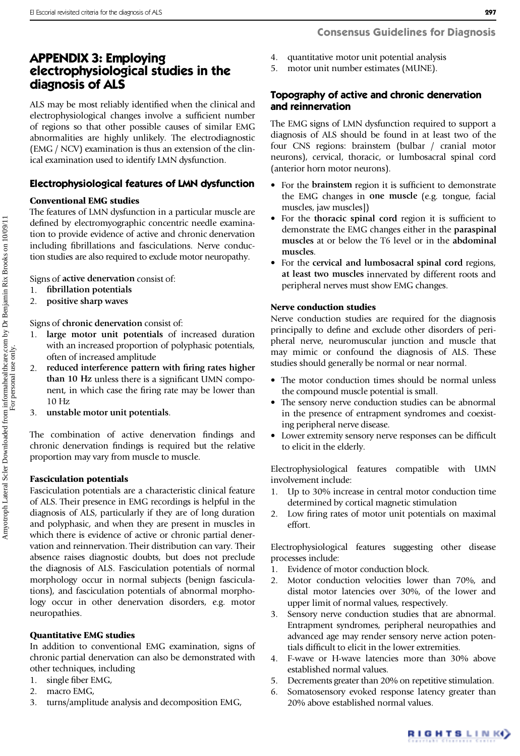# APPENDIX 3: Employing electrophysiological studies in the diagnosis of ALS

ALS may be most reliably identified when the clinical and electrophysiological changes involve a sufficient number of regions so that other possible causes of similar EMG abnormalities are highly unlikely. The electrodiagnostic (EMG / NCV) examination is thus an extension of the clinical examination used to identify LMN dysfunction.

## Electrophysiological features of LMN dysfunction

## Conventional EMG studies

The features of LMN dysfunction in a particular muscle are defined by electromyographic concentric needle examination to provide evidence of active and chronic denervation including fibrillations and fasciculations. Nerve conduction studies are also required to exclude motor neuropathy.

Signs of **active denervation** consist of:

- 1. **brillation potentials**
- 2. **positive sharp waves**

Signs of **chronic denervation** consist of:

- large motor unit potentials of increased duration with an increased proportion of polyphasic potentials, often of increased amplitude
- 2. **reduced interference pattern with firing rates higher** than 10 Hz unless there is a significant UMN component, in which case the firing rate may be lower than 10 Hz
- 3. **unstable motor unit potentials**.

The combination of active denervation findings and chronic denervation findings is required but the relative proportion may vary from muscle to muscle.

## Fasciculation potentials

Fasciculation potentials are a characteristic clinical feature of ALS. Their presence in EMG recordings is helpful in the diagnosis of ALS, particularly if they are of long duration 2. and polyphasic, and when they are present in muscles in which there is evidence of active or chronic partial denervation and reinnervation. Their distribution can vary. Their absence raises diagnostic doubts, but does not preclude the diagnosis of ALS. Fasciculation potentials of normal morphology occur in normal subjects (benign fasciculations), and fasciculation potentials of abnormal morphology occur in other denervation disorders, e.g. motor neuropathies.

## Quantitative EMG studies

In addition to conventional EMG examination, signs of chronic partial denervation can also be demonstrated with other techniques, including

- 1. single fiber EMG,
- 2. macro EMG,
- 3. turns/amplitude analysis and decomposition EMG,
- 4. quantitative motor unit potential analysis
- 5. motor unit number estimates (MUNE).

## Topography of active and chronic denervation and reinnervation

The EMG signs of LMN dysfunction required to support a diagnosis of ALS should be found in at least two of the four CNS regions: brainstem (bulbar / cranial motor neurons), cervical, thoracic, or lumbosacral spinal cord (anterior horn motor neurons).

- For the **brainstem** region it is sufficient to demonstrate the EMG changes in **one muscle** (e.g. tongue, facial muscles, jaw muscles])
- For the **thoracic spinal cord** region it is sufficient to demonstrate the EMG changes either in the **paraspinal muscles** at or below the T6 level or in the **abdominal muscles**.
- For the **cervical and lumbosacral spinal cord** regions, **at least two muscles** innervated by different roots and peripheral nerves must show EMG changes.

## Nerve conduction studies

Nerve conduction studies are required for the diagnosis principally to define and exclude other disorders of peripheral nerve, neuromuscular junction and muscle that may mimic or confound the diagnosis of ALS. These studies should generally be normal or near normal.

- The motor conduction times should be normal unless the compound muscle potential is small.
- The sensory nerve conduction studies can be abnormal in the presence of entrapment syndromes and coexisting peripheral nerve disease.
- Lower extremity sensory nerve responses can be difficult to elicit in the elderly.

Electrophysiological features compatible with UMN involvement include:

- 1. Up to 30% increase in central motor conduction time determined by cortical magnetic stimulation
- Low firing rates of motor unit potentials on maximal effort.

Electrophysiological features suggesting other disease processes include:

- 1. Evidence of motor conduction block.
- 2. Motor conduction velocities lower than 70%, and distal motor latencies over 30%, of the lower and upper limit of normal values, respectively.
- 3. Sensory nerve conduction studies that are abnormal. Entrapment syndromes, peripheral neuropathies and advanced age may render sensory nerve action potentials difcult to elicit in the lower extremities.
- 4. F-wave or H-wave latencies more than 30% above established normal values.
- 5. Decrements greater than 20% on repetitive stimulation.
- 6. Somatosensory evoked response latency greater than 20% above established normal values.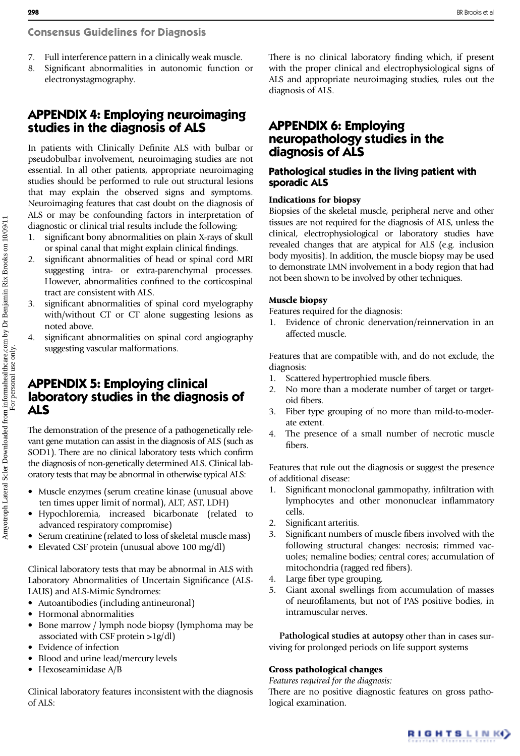- 7. Full interference pattern in a clinically weak muscle.
- 8. Significant abnormalities in autonomic function or electronystagmography.

# APPENDIX 4: Employing neuroimaging studies in the diagnosis of ALS

In patients with Clinically Definite ALS with bulbar or pseudobulbar involvement, neuroimaging studies are not essential. In all other patients, appropriate neuroimaging studies should be performed to rule out structural lesions that may explain the observed signs and symptoms. Neuroimaging features that cast doubt on the diagnosis of ALS or may be confounding factors in interpretation of diagnostic or clinical trial results include the following:

- 1. signicant bony abnormalities on plain X-rays of skull or spinal canal that might explain clinical findings.
- 2. signicant abnormalities of head or spinal cord MRI suggesting intra- or extra-parenchymal processes. However, abnormalities confined to the corticospinal tract are consistent with ALS.
- 3. signicant abnormalities of spinal cord myelography with/without CT or CT alone suggesting lesions as noted above.
- 4. signicant abnormalities on spinal cord angiography suggesting vascular malformations.

# APPENDIX 5: Employing clinical laboratory studies in the diagnosis of ALS

The demonstration of the presence of a pathogenetically relevant gene mutation can assist in the diagnosis of ALS (such as SOD1). There are no clinical laboratory tests which confirm the diagnosis of non-genetically determined ALS. Clinical laboratory tests that may be abnormal in otherwise typical ALS:

- Muscle enzymes (serum creatine kinase (unusual above ten times upper limit of normal), ALT, AST, LDH)
- Hypochloremia, increased bicarbonate (related to advanced respiratory compromise)
- Serum creatinine (related to loss of skeletal muscle mass)
- Elevated CSF protein (unusual above 100 mg/dl)

Clinical laboratory tests that may be abnormal in ALS with Laboratory Abnormalities of Uncertain Significance (ALS-LAUS) and ALS-Mimic Syndromes:

- Autoantibodies (including antineuronal)
- Hormonal abnormalities
- Bone marrow / lymph node biopsy (lymphoma may be associated with CSF protein >1g/dl)
- Evidence of infection
- Blood and urine lead/mercury levels
- Hexoseaminidase A/B

Clinical laboratory features inconsistent with the diagnosis of ALS:

There is no clinical laboratory finding which, if present with the proper clinical and electrophysiological signs of ALS and appropriate neuroimaging studies, rules out the diagnosis of ALS.

# APPENDIX 6: Employing neuropathology studies in the diagnosis of ALS

## Pathological studies in the living patient with sporadic ALS

## Indications for biopsy

Biopsies of the skeletal muscle, peripheral nerve and other tissues are not required for the diagnosis of ALS, unless the clinical, electrophysiological or laboratory studies have revealed changes that are atypical for ALS (e.g. inclusion body myositis). In addition, the muscle biopsy may be used to demonstrate LMN involvement in a body region that had not been shown to be involved by other techniques.

## Muscle biopsy

Features required for the diagnosis:

1. Evidence of chronic denervation/reinnervation in an affected muscle.

Features that are compatible with, and do not exclude, the diagnosis:

- 1. Scattered hypertrophied muscle fibers.
- 2. No more than a moderate number of target or targetoid fibers.
- 3. Fiber type grouping of no more than mild-to-moderate extent.
- 4. The presence of a small number of necrotic muscle fibers.

Features that rule out the diagnosis or suggest the presence of additional disease:

- 1. Significant monoclonal gammopathy, infiltration with lymphocytes and other mononuclear inflammatory cells.
- 2. Significant arteritis.
- 3. Significant numbers of muscle fibers involved with the following structural changes: necrosis; rimmed vacuoles; nemaline bodies; central cores; accumulation of mitochondria (ragged red fibers).
- 4. Large fiber type grouping.
- 5. Giant axonal swellings from accumulation of masses of neurofilaments, but not of PAS positive bodies, in intramuscular nerves.

**Pathological studies at autopsy** other than in cases surviving for prolonged periods on life support systems

## Gross pathological changes

*Features required for the diagnosis:*

There are no positive diagnostic features on gross pathological examination.